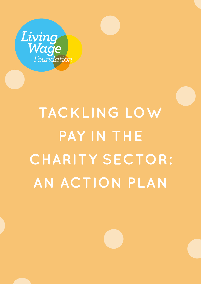

# **TACKLING LOW PAY IN THE CHARITY SECTOR: AN ACTION PLAN**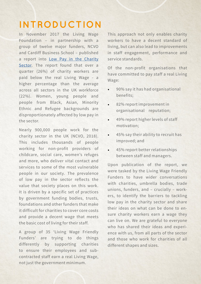### **INTRODUCTION**

In November 2017 the Living Wage Foundation – in partnership with a group of twelve major funders, NCVO and Cardiff Business School – published a report into [Low Pay in the Charity](https://www.livingwage.org.uk/sites/default/files/Living-Wage-Report.pdf)  [Sector](https://www.livingwage.org.uk/sites/default/files/Living-Wage-Report.pdf). The report found that over a quarter (26%) of charity workers are paid below the real Living Wage - a higher percentage than the average across all sectors in the UK workforce (22%). Women, young people and people from Black, Asian, Minority Ethnic and Refugee backgrounds are disproportionately affected by low pay in the sector.

Nearly 900,000 people work for the charity sector in the UK (NCVO, 2018). This includes thousands of people working for non-profit providers of childcare, social care, women's refuges and more, who deliver vital contact and services to some of the most vulnerable people in our society. The prevalence of low pay in the sector reflects the value that society places on this work. It is driven by a specific set of practices by government funding bodies, trusts, foundations and other funders that make it difficult for charities to cover core costs and provide a decent wage that meets the basic cost of living for their staff.

A group of 35 'Living Wage Friendly Funders' are trying to do things differently by supporting charities to ensure their employees and subcontracted staff earn a real Living Wage, not just the government minimum.

This approach not only enables charity workers to have a decent standard of living, but can also lead to improvements in staff engagement, performance and service standards.

Of the non-profit organisations that have committed to pay staff a real Living Wage:

- 90% say it has had organisational benefits;
- 82% report improvement in organisational reputation;
- 49% report higher levels of staff motivation;
- 45% say their ability to recruit has improved; and
- 45% report better relationships between staff and managers.

Upon publication of the report, we were tasked by the Living Wage Friendly Funders to have wider conversations with charities, umbrella bodies, trade unions, funders, and – crucially – workers, to identify the barriers to tackling low pay in the charity sector and share their ideas on what can be done to ensure charity workers earn a wage they can live on. We are grateful to everyone who has shared their ideas and experience with us, from all parts of the sector and those who work for charities of all different shapes and sizes.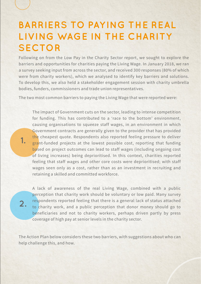### **BARRIERS TO PAYING THE REAL LIVING WAGE IN THE CHARITY SECTOR**

Following on from the Low Pay in the Charity Sector report, we sought to explore the barriers and opportunities for charities paying the Living Wage. In January 2018, we ran a survey seeking input from across the sector, and received 300 responses (80% of which were from charity workers), which we analysed to identify key barriers and solutions. To develop this, we also held a stakeholder engagement session with charity umbrella bodies, funders, commissioners and trade union representatives.

The two most common barriers to paying the Living Wage that were reported were:

The impact of Government cuts on the sector, leading to intense competition for funding. This has contributed to a 'race to the bottom' environment, causing organisations to squeeze staff wages, in an environment in which Government contracts are generally given to the provider that has provided the cheapest quote. Respondents also reported feeling pressure to deliver grant-funded projects at the lowest possible cost, reporting that funding based on project outcomes can lead to staff wages (including ongoing cost of living increases) being deprioritised. In this context, charities reported feeling that staff wages and other core costs were deprioritised; with staff wages seen only as a cost, rather than as an investment in recruiting and retaining a skilled and committed workforce.

A lack of awareness of the real Living Wage, combined with a public perception that charity work should be voluntary or low paid. Many survey respondents reported feeling that there is a general lack of status attached to charity work, and a public perception that donor money should go to beneficiaries and not to charity workers, perhaps driven partly by press coverage of high pay at senior levels in the charity sector.

The Action Plan below considers these two barriers, with suggestions about who can help challenge this, and how.

**2.**

**1.**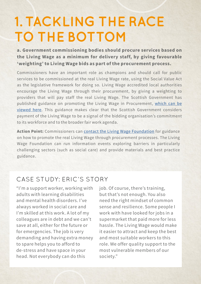# **1. TACKLING THE RACE TO THE BOTTOM**

**a. Government commissioning bodies should procure services based on the Living Wage as a minimum for delivery staff, by giving favourable 'weighting' to Living Wage bids as part of the procurement process.** 

Commissioners have an important role as champions and should call for public services to be commissioned at the real Living Wage rate, using the Social Value Act as the legislative framework for doing so. Living Wage accredited local authorities encourage the Living Wage through their procurement, by giving a weighting to providers that will pay staff the real Living Wage. The Scottish Government has published guidance on promoting the Living Wage in Procurement, [which can be](http://www.gov.scot/Publications/2015/10/2086)  [viewed here.](http://www.gov.scot/Publications/2015/10/2086) This guidance makes clear that the Scottish Government considers payment of the Living Wage to be a signal of the bidding organisation's commitment to its workforce and to the broader fair work agenda.

**Action Point:** Commissioners can [contact the Living Wage Foundation](https://www.livingwage.org.uk/contact-us) for guidance on how to promote the real Living Wage through procurement processes. The Living Wage Foundation can run information events exploring barriers in particularly challenging sectors (such as social care) and provide materials and best practice guidance.

### CASE STUDY: ERIC'S STORY

"I'm a support worker, working with adults with learning disabilities and mental health disorders. I've always worked in social care and I'm skilled at this work. A lot of my colleagues are in debt and we can't save at all, either for the future or for emergencies. The job is very demanding and having extra money to spare helps you to afford to de-stress and have space in your head. Not everybody can do this

job. Of course, there's training, but that's not enough. You also need the right mindset of common sense and resilience. Some people I work with have looked for jobs in a supermarket that paid more for less hassle. The Living Wage would make it easier to attract and keep the best and most suitable workers to this role. We offer quality support to the most vulnerable members of our society."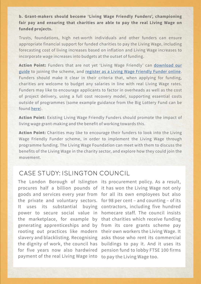**b. Grant-makers should become 'Living Wage Friendly Funders', championing fair pay and ensuring that charities are able to pay the real Living Wage on funded projects.** 

Trusts, foundations, high net-worth individuals and other funders can ensure appropriate financial support for funded charities to pay the Living Wage, including forecasting cost of living increases based on inflation and Living Wage increases to incorporate wage increases into budgets at the outset of funding.

**Action Point:** Funders that are not yet 'Living Wage Friendly' can [download our](https://www.livingwage.org.uk/sites/default/files/Living%20Wage%20Friendly%20Funders.pdf)  [guide](https://www.livingwage.org.uk/sites/default/files/Living%20Wage%20Friendly%20Funders.pdf) to joining the scheme, and [register as a Living Wage Friendly Funder online](https://www.livingwage.org.uk/how-become-friendly-funder). Funders should make it clear in their criteria that, when applying for funding, charities are welcome to budget any salaries in line with real Living Wage rates. Funders may like to encourage applicants to factor in overheads as well as the cost of project delivery, using a full cost recovery model, supporting essential costs outside of programmes (some example guidance from the Big Lottery Fund can be found [here\)](http://webarchive.nationalarchives.gov.uk/20171011160656/https:/www.biglotteryfund.org.uk/funding/funding-guidance/applying-for-funding/full-cost-recovery).

**Action Point:** Existing Living Wage Friendly Funders should promote the impact of living wage grant-making and the benefit of working towards this.

**Action Point:** Charities may like to encourage their funders to look into the Living Wage Friendly Funder scheme, in order to implement the Living Wage through programme funding. The Living Wage Foundation can meet with them to discuss the benefits of the Living Wage in the charity sector, and explore how they could join the movement.

#### CASE STUDY: ISLINGTON COUNCIL

The London Borough of Islington its procurement policy. As a result, procures half a billion pounds of it has won the Living Wage not only goods and services every year from for all its own employees but also the private and voluntary sectors. for 98 per cent – and counting – of its It uses its substantial buying contractors, including five hundred power to secure social value in homecare staff. The council insists the marketplace, for example by that charities which receive funding generating apprenticeships and by from its core grants scheme pay rooting out practices like modern their own workers the Living Wage. It slavery and blacklisting. Recognising asks those who rent its commercial the dignity of work, the council has for five years now also hardwired payment of the real Living Wage into to pay the Living Wage too.

buildings to pay it. And it uses its pension fund to lobby FTSE 100 firms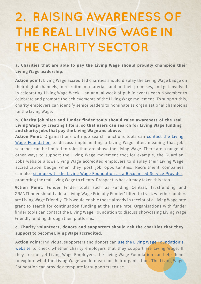# **2. RAISING AWARENESS OF THE REAL LIVING WAGE IN THE CHARITY SECTOR**

**a. Charities that are able to pay the Living Wage should proudly champion their Living Wage leadership.**

**Action point:** Living Wage accredited charities should display the Living Wage badge on their digital channels, in recruitment materials and on their premises, and get involved in celebrating Living Wage Week – an annual week of public events each November to celebrate and promote the achievements of the Living Wage movement. To support this, charity employers can identify senior leaders to nominate as organisational champions for the Living Wage.

#### **b. Charity job sites and funder finder tools should raise awareness of the real Living Wage by creating filters, so that users can search for Living Wage funding and charity jobs that pay the Living Wage and above.**

**Action Point:** Organisations with job search functions tools can [contact the Living](https://www.livingwage.org.uk/contact-us) [Wage Foundation](https://www.livingwage.org.uk/contact-us) to discuss implementing a Living Wage filter, meaning that job searches can be limited to roles that are above the Living Wage. There are a range of other ways to support the Living Wage movement too; for example, the Guardian Jobs website allows Living Wage accredited employers to display their Living Wage accreditation badge when they post job opportunities. Recruitment companies can also [sign up with the Living Wage Foundation as a Recognised Service Provider,](https://www.livingwage.org.uk/become-recognised-service-provider) promoting the real Living Wage to clients. Prospectus has already taken this step.

**Action Point:** Funder Finder tools such as Funding Central, Trustfunding and GRANTfinder should add a 'Living Wage Friendly Funder' filter, to track whether funders are Living Wage Friendly. This would enable those already in receipt of a Living Wage rate grant to search for continuation funding at the same rate. Organisations with funder finder tools can contact the Living Wage Foundation to discuss showcasing Living Wage Friendly funding through their platforms.

#### **c. Charity volunteers, donors and supporters should ask the charities that they support to become Living Wage accredited.**

**Action Point:** Individual supporters and donors can [use the Living Wage Foundation's](https://www.livingwage.org.uk/accredited-living-wage-employers) [website](https://www.livingwage.org.uk/accredited-living-wage-employers) to check whether charity employers that they support are Living Wage. If they are not yet Living Wage Employers, the Living Wage Foundation can help them to explore what the Living Wage would mean for their organisation. The Living Wage Foundation can provide a template for supporters to use.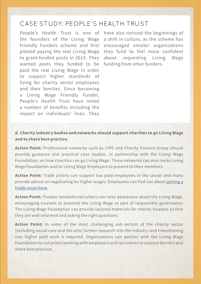#### CASE STUDY: PEOPLE'S HEALTH TRUST

People's Health Trust is one of have also noticed the beginnings of the founders of the Living Wage Friendly Funders scheme and first encouraged smaller organisations piloted paying the real Living Wage to grant-funded posts in 2013. They wanted posts they funded to be funding from other funders. paid the real Living Wage in order to support higher standards of living for charity sector employees and their families. Since becoming a Living Wage Friendly Funder, People's Health Trust have noted a number of benefits including the impact on individuals' lives. They

a shift in culture, as the scheme has they fund to feel more confident about requesting Living Wage

**d. Charity industry bodies and networks should support charities to go Living Wage and to share best practice.**

**Action Point:** Professional networks such as CIPD and Charity Finance Group should provide guidance and practical case studies, in partnership with the Living Wage Foundation, on how charities can go Living Wage. These networks can also invite Living Wage Foundation and/or Living Wage Employers to present to their members.

**Action Point:** Trade unions can support low paid employees in the sector and many provide advice on negotiating for higher wages. Employees can find out about [joining a](https://www.tuc.org.uk/join-union)  [trade union here.](https://www.tuc.org.uk/join-union)

**Action Point:** Trustee networks/recruiters can raise awareness about the Living Wage, encouraging trustees to promote the Living Wage as part of responsible governance. The Living Wage Foundation can provide tailored materials for charity trustees so that they are well informed and asking the right questions.

**Action Point:** In some of the most challenging sub-sectors of the charity sector (including social care and the arts) further research into the industry and transitioning into higher paid work is required. Organisations can partner with the Living Wage Foundation to run pilots working with employers and run events to explore barriers and share best practice.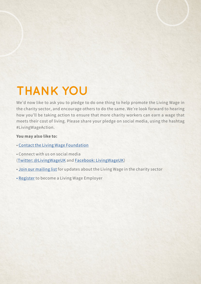## **THANK YOU**

We'd now like to ask you to pledge to do one thing to help promote the Living Wage in the charity sector, and encourage others to do the same. We're look forward to hearing how you'll be taking action to ensure that more charity workers can earn a wage that meets their cost of living. Please share your pledge on social media, using the hashtag #LivingWageAction.

#### **You may also like to:**

- • [Contact the Living Wage Foundation](https://www.livingwage.org.uk/contact-us)
- Connect with us on social media ([Twitter: @LivingWageUK](https://twitter.com/LivingWageUK) and [Facebook: LivingWageUK\)](https://www.facebook.com/LivingWageUK/)
- • [Join our mailing list](http://eepurl.com/duFN4D) for updates about the Living Wage in the charity sector
- [Register](https://www.livingwage.org.uk/become-a-living-wage-employer) to become a Living Wage Employer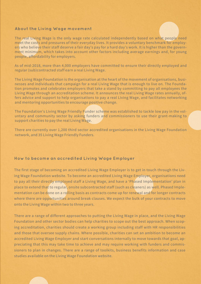#### **About the Living Wage movement**

The real Living Wage is the only wage rate calculated independently based on what people need meet the costs and pressures of their everyday lives. It provides a voluntary benchmark for employers who believe their staff deserve a fair day's pay for a hard day's work. It is higher than the government minimum, which takes into account other factors including average earnings and, for young people, affordability for employers.

As of mid-2018, more than 4,000 employers have committed to ensure their directly employed and regular (sub)contracted staff earn a real Living Wage.

The Living Wage Foundation is the organisation at the heart of the movement of organisations, businesses and individuals that campaign for a real Living Wage that is enough to live on. The Foundation promotes and celebrates employers that take a stand by committing to pay all employees the Living Wage through an accreditation scheme. It announces the real Living Wage rates annually, offers advice and support to help organisations to pay a real Living Wage, and facilitates networking and mentoring opportunities to encourage positive change.

The Foundation's Living Wage Friendly Funder scheme was established to tackle low pay in the voluntary and community sector by asking funders and commissioners to use their grant-making to support charities to pay the real Living Wage.

There are currently over 1,200 third sector accredited organisations in the Living Wage Foundation network, and 35 Living Wage Friendly Funders.

#### **How to become an accredited Living Wage Employer**

The first stage of becoming an accredited Living Wage Employer is to get in touch through the Living Wage Foundation website. To become an accredited Living Wage Employer, organisations need to pay all their directly employed staff a Living Wage, and have a 'Phased Implementation' plan in place to extend that to regular, onsite subcontracted staff (such as cleaners) as well. Phased Implementation can be done on a rolling basis as contracts come up for renewal and for longer contracts where there are opportunities around break clauses. We expect the bulk of your contracts to move onto the Living Wage within two to three years.

There are a range of different approaches to putting the Living Wage in place, and the Living Wage Foundation and other sector bodies can help charities to scope out the best approach. When scoping accreditation, charities should create a working group including staff with HR responsibilities and those that oversee supply chains. Where possible, charities can set an ambition to become an accredited Living Wage Employer and start conversations internally to move towards that goal, appreciating that this may take time to achieve and may require working with funders and commissioners to plan in changes. There are a range of toolkits, business benefits information and case studies available on the Living Wage Foundation website.